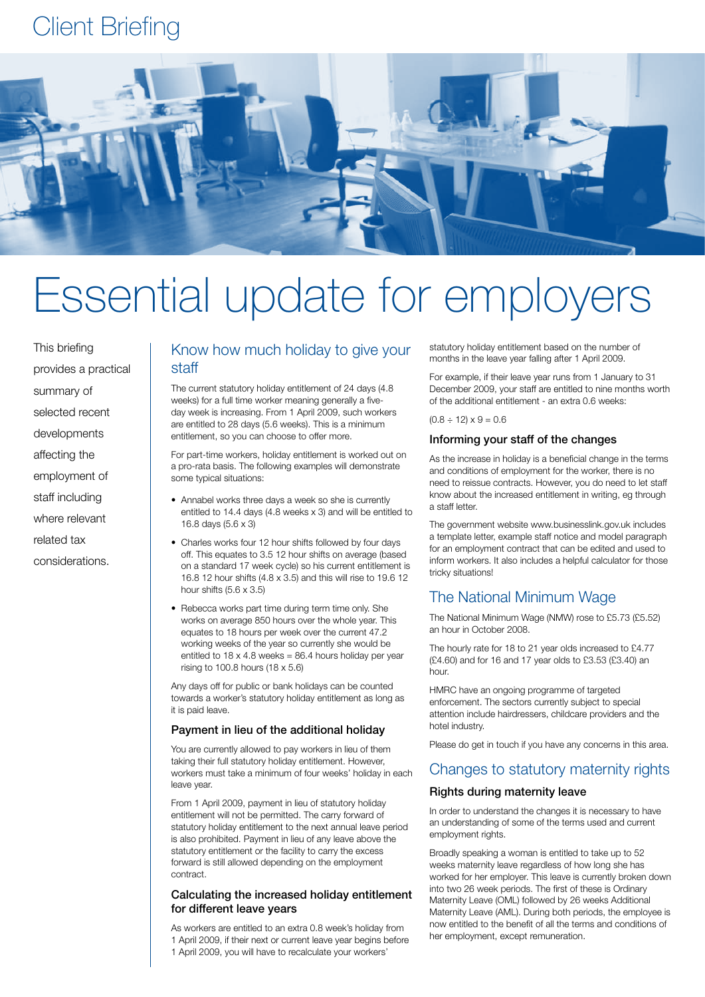# Client Briefing



# Essential update for employers

This briefing provides a practical summary of selected recent developments affecting the employment of staff including where relevant related tax considerations.

# Know how much holiday to give your staff

The current statutory holiday entitlement of 24 days (4.8 weeks) for a full time worker meaning generally a fiveday week is increasing. From 1 April 2009, such workers are entitled to 28 days (5.6 weeks). This is a minimum entitlement, so you can choose to offer more.

For part-time workers, holiday entitlement is worked out on a pro-rata basis. The following examples will demonstrate some typical situations:

- Annabel works three days a week so she is currently entitled to 14.4 days (4.8 weeks x 3) and will be entitled to 16.8 days (5.6 x 3)
- Charles works four 12 hour shifts followed by four days off. This equates to 3.5 12 hour shifts on average (based on a standard 17 week cycle) so his current entitlement is 16.8 12 hour shifts (4.8 x 3.5) and this will rise to 19.6 12 hour shifts  $(5.6 \times 3.5)$
- Rebecca works part time during term time only. She works on average 850 hours over the whole year. This equates to 18 hours per week over the current 47.2 working weeks of the year so currently she would be entitled to  $18 \times 4.8$  weeks = 86.4 hours holiday per year rising to 100.8 hours (18 x 5.6)

Any days off for public or bank holidays can be counted towards a worker's statutory holiday entitlement as long as it is paid leave.

#### Payment in lieu of the additional holiday

You are currently allowed to pay workers in lieu of them taking their full statutory holiday entitlement. However, workers must take a minimum of four weeks' holiday in each leave year.

From 1 April 2009, payment in lieu of statutory holiday entitlement will not be permitted. The carry forward of statutory holiday entitlement to the next annual leave period is also prohibited. Payment in lieu of any leave above the statutory entitlement or the facility to carry the excess forward is still allowed depending on the employment contract.

#### Calculating the increased holiday entitlement for different leave years

As workers are entitled to an extra 0.8 week's holiday from 1 April 2009, if their next or current leave year begins before 1 April 2009, you will have to recalculate your workers'

statutory holiday entitlement based on the number of months in the leave year falling after 1 April 2009.

For example, if their leave year runs from 1 January to 31 December 2009, your staff are entitled to nine months worth of the additional entitlement - an extra 0.6 weeks:

 $(0.8 \div 12) \times 9 = 0.6$ 

#### Informing your staff of the changes

As the increase in holiday is a beneficial change in the terms and conditions of employment for the worker, there is no need to reissue contracts. However, you do need to let staff know about the increased entitlement in writing, eg through a staff letter.

The government website www.businesslink.gov.uk includes a template letter, example staff notice and model paragraph for an employment contract that can be edited and used to inform workers. It also includes a helpful calculator for those tricky situations!

### The National Minimum Wage

The National Minimum Wage (NMW) rose to £5.73 (£5.52) an hour in October 2008.

The hourly rate for 18 to 21 year olds increased to £4.77 (£4.60) and for 16 and 17 year olds to £3.53 (£3.40) an hour.

HMRC have an ongoing programme of targeted enforcement. The sectors currently subject to special attention include hairdressers, childcare providers and the hotel industry.

Please do get in touch if you have any concerns in this area.

#### Changes to statutory maternity rights

#### Rights during maternity leave

In order to understand the changes it is necessary to have an understanding of some of the terms used and current employment rights.

Broadly speaking a woman is entitled to take up to 52 weeks maternity leave regardless of how long she has worked for her employer. This leave is currently broken down into two 26 week periods. The first of these is Ordinary Maternity Leave (OML) followed by 26 weeks Additional Maternity Leave (AML). During both periods, the employee is now entitled to the benefit of all the terms and conditions of her employment, except remuneration.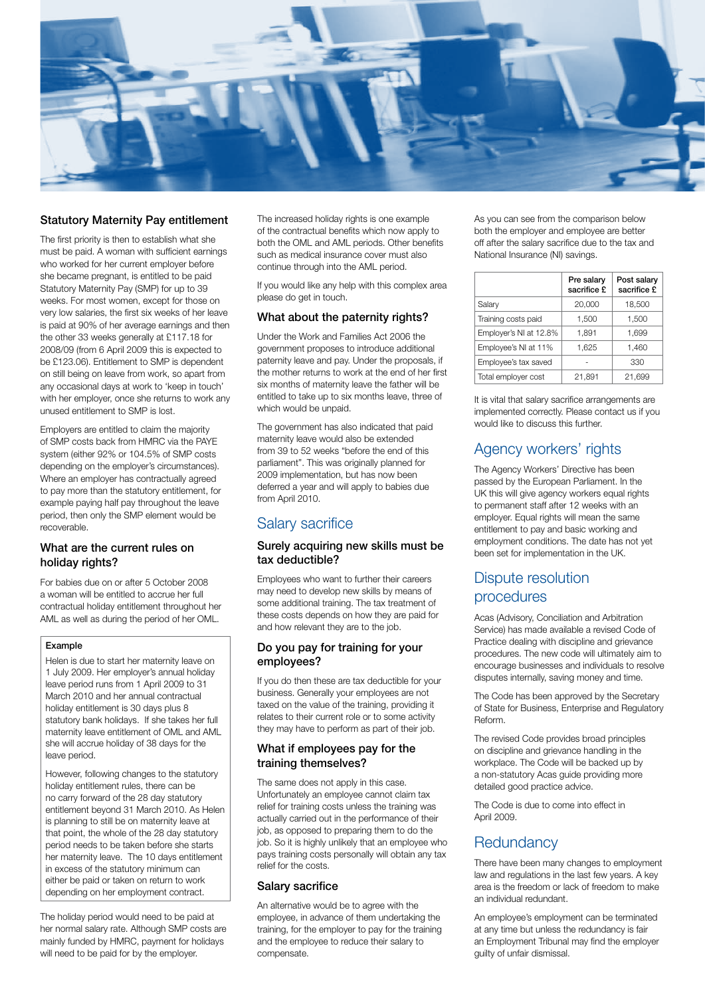

#### Statutory Maternity Pay entitlement

The first priority is then to establish what she must be paid. A woman with sufficient earnings who worked for her current employer before she became pregnant, is entitled to be paid Statutory Maternity Pay (SMP) for up to 39 weeks. For most women, except for those on very low salaries, the first six weeks of her leave is paid at 90% of her average earnings and then the other 33 weeks generally at £117.18 for 2008/09 (from 6 April 2009 this is expected to be £123.06). Entitlement to SMP is dependent on still being on leave from work, so apart from any occasional days at work to 'keep in touch' with her employer, once she returns to work any unused entitlement to SMP is lost.

Employers are entitled to claim the majority of SMP costs back from HMRC via the PAYE system (either 92% or 104.5% of SMP costs depending on the employer's circumstances). Where an employer has contractually agreed to pay more than the statutory entitlement, for example paying half pay throughout the leave period, then only the SMP element would be recoverable.

#### What are the current rules on holiday rights?

For babies due on or after 5 October 2008 a woman will be entitled to accrue her full contractual holiday entitlement throughout her AML as well as during the period of her OML.

#### Example

Helen is due to start her maternity leave on 1 July 2009. Her employer's annual holiday leave period runs from 1 April 2009 to 31 March 2010 and her annual contractual holiday entitlement is 30 days plus 8 statutory bank holidays. If she takes her full maternity leave entitlement of OML and AML she will accrue holiday of 38 days for the leave period.

However, following changes to the statutory holiday entitlement rules, there can be no carry forward of the 28 day statutory entitlement beyond 31 March 2010. As Helen is planning to still be on maternity leave at that point, the whole of the 28 day statutory period needs to be taken before she starts her maternity leave. The 10 days entitlement in excess of the statutory minimum can either be paid or taken on return to work depending on her employment contract.

The holiday period would need to be paid at her normal salary rate. Although SMP costs are mainly funded by HMRC, payment for holidays will need to be paid for by the employer.

The increased holiday rights is one example of the contractual benefits which now apply to both the OML and AML periods. Other benefits such as medical insurance cover must also continue through into the AML period.

If you would like any help with this complex area please do get in touch.

#### What about the paternity rights?

Under the Work and Families Act 2006 the government proposes to introduce additional paternity leave and pay. Under the proposals, if the mother returns to work at the end of her first six months of maternity leave the father will be entitled to take up to six months leave, three of which would be unpaid.

The government has also indicated that paid maternity leave would also be extended from 39 to 52 weeks "before the end of this parliament". This was originally planned for 2009 implementation, but has now been deferred a year and will apply to babies due from April 2010.

# Salary sacrifice

#### Surely acquiring new skills must be tax deductible?

Employees who want to further their careers may need to develop new skills by means of some additional training. The tax treatment of these costs depends on how they are paid for and how relevant they are to the job.

#### Do you pay for training for your employees?

If you do then these are tax deductible for your business. Generally your employees are not taxed on the value of the training, providing it relates to their current role or to some activity they may have to perform as part of their job.

#### What if employees pay for the training themselves?

The same does not apply in this case. Unfortunately an employee cannot claim tax relief for training costs unless the training was actually carried out in the performance of their job, as opposed to preparing them to do the job. So it is highly unlikely that an employee who pays training costs personally will obtain any tax relief for the costs.

#### Salary sacrifice

An alternative would be to agree with the employee, in advance of them undertaking the training, for the employer to pay for the training and the employee to reduce their salary to compensate.

As you can see from the comparison below both the employer and employee are better off after the salary sacrifice due to the tax and National Insurance (NI) savings.

|                        | Pre salary<br>sacrifice £ | Post salary<br>sacrifice £ |
|------------------------|---------------------------|----------------------------|
| Salary                 | 20,000                    | 18,500                     |
| Training costs paid    | 1,500                     | 1,500                      |
| Employer's NI at 12.8% | 1,891                     | 1,699                      |
| Employee's NI at 11%   | 1,625                     | 1,460                      |
| Employee's tax saved   |                           | 330                        |
| Total employer cost    | 21,891                    | 21,699                     |

It is vital that salary sacrifice arrangements are implemented correctly. Please contact us if you would like to discuss this further.

# Agency workers' rights

The Agency Workers' Directive has been passed by the European Parliament. In the UK this will give agency workers equal rights to permanent staff after 12 weeks with an employer. Equal rights will mean the same entitlement to pay and basic working and employment conditions. The date has not yet been set for implementation in the UK.

# Dispute resolution procedures

Acas (Advisory, Conciliation and Arbitration Service) has made available a revised Code of Practice dealing with discipline and grievance procedures. The new code will ultimately aim to encourage businesses and individuals to resolve disputes internally, saving money and time.

The Code has been approved by the Secretary of State for Business, Enterprise and Regulatory Reform.

The revised Code provides broad principles on discipline and grievance handling in the workplace. The Code will be backed up by a non-statutory Acas guide providing more detailed good practice advice.

The Code is due to come into effect in April 2009.

## **Redundancy**

There have been many changes to employment law and regulations in the last few years. A key area is the freedom or lack of freedom to make an individual redundant.

An employee's employment can be terminated at any time but unless the redundancy is fair an Employment Tribunal may find the employer guilty of unfair dismissal.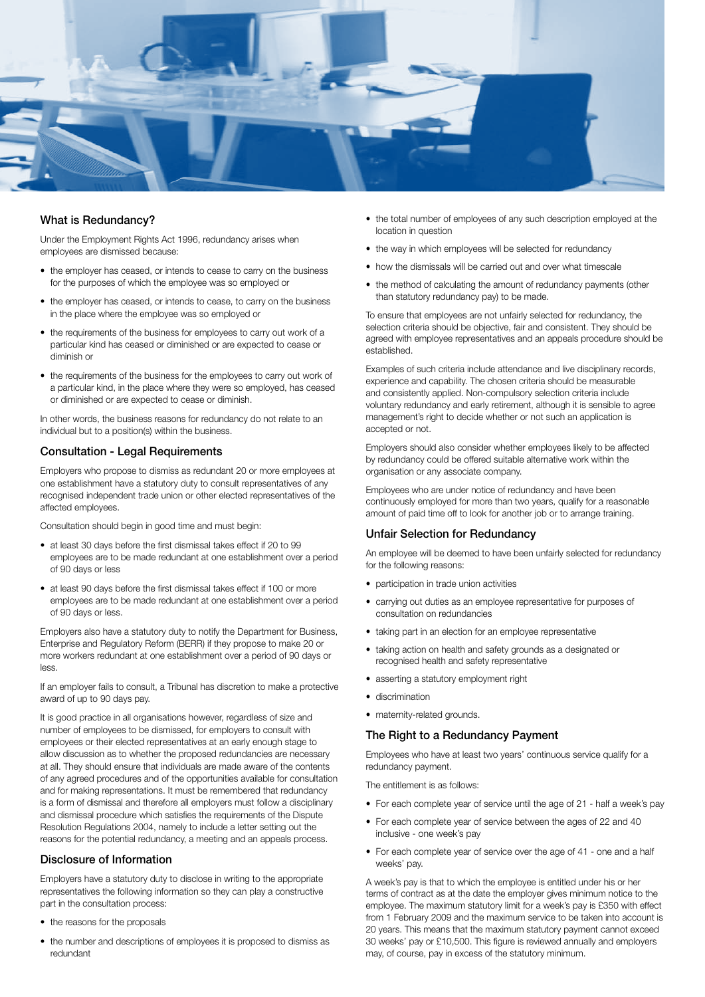

#### What is Redundancy?

Under the Employment Rights Act 1996, redundancy arises when employees are dismissed because:

- the employer has ceased, or intends to cease to carry on the business for the purposes of which the employee was so employed or
- the employer has ceased, or intends to cease, to carry on the business in the place where the employee was so employed or
- the requirements of the business for employees to carry out work of a particular kind has ceased or diminished or are expected to cease or diminish or
- the requirements of the business for the employees to carry out work of a particular kind, in the place where they were so employed, has ceased or diminished or are expected to cease or diminish.

In other words, the business reasons for redundancy do not relate to an individual but to a position(s) within the business.

#### Consultation - Legal Requirements

Employers who propose to dismiss as redundant 20 or more employees at one establishment have a statutory duty to consult representatives of any recognised independent trade union or other elected representatives of the affected employees.

Consultation should begin in good time and must begin:

- at least 30 days before the first dismissal takes effect if 20 to 99 employees are to be made redundant at one establishment over a period of 90 days or less
- at least 90 days before the first dismissal takes effect if 100 or more employees are to be made redundant at one establishment over a period of 90 days or less.

Employers also have a statutory duty to notify the Department for Business, Enterprise and Regulatory Reform (BERR) if they propose to make 20 or more workers redundant at one establishment over a period of 90 days or less.

If an employer fails to consult, a Tribunal has discretion to make a protective award of up to 90 days pay.

It is good practice in all organisations however, regardless of size and number of employees to be dismissed, for employers to consult with employees or their elected representatives at an early enough stage to allow discussion as to whether the proposed redundancies are necessary at all. They should ensure that individuals are made aware of the contents of any agreed procedures and of the opportunities available for consultation and for making representations. It must be remembered that redundancy is a form of dismissal and therefore all employers must follow a disciplinary and dismissal procedure which satisfies the requirements of the Dispute Resolution Regulations 2004, namely to include a letter setting out the reasons for the potential redundancy, a meeting and an appeals process.

#### Disclosure of Information

Employers have a statutory duty to disclose in writing to the appropriate representatives the following information so they can play a constructive part in the consultation process:

- the reasons for the proposals
- the number and descriptions of employees it is proposed to dismiss as redundant
- the total number of employees of any such description employed at the location in question
- the way in which employees will be selected for redundancy
- how the dismissals will be carried out and over what timescale
- the method of calculating the amount of redundancy payments (other than statutory redundancy pay) to be made.

To ensure that employees are not unfairly selected for redundancy, the selection criteria should be objective, fair and consistent. They should be agreed with employee representatives and an appeals procedure should be established.

Examples of such criteria include attendance and live disciplinary records, experience and capability. The chosen criteria should be measurable and consistently applied. Non-compulsory selection criteria include voluntary redundancy and early retirement, although it is sensible to agree management's right to decide whether or not such an application is accepted or not.

Employers should also consider whether employees likely to be affected by redundancy could be offered suitable alternative work within the organisation or any associate company.

Employees who are under notice of redundancy and have been continuously employed for more than two years, qualify for a reasonable amount of paid time off to look for another job or to arrange training.

#### Unfair Selection for Redundancy

An employee will be deemed to have been unfairly selected for redundancy for the following reasons:

- participation in trade union activities
- carrying out duties as an employee representative for purposes of consultation on redundancies
- taking part in an election for an employee representative
- taking action on health and safety grounds as a designated or recognised health and safety representative
- asserting a statutory employment right
- discrimination
- maternity-related grounds.

#### The Right to a Redundancy Payment

Employees who have at least two years' continuous service qualify for a redundancy payment.

The entitlement is as follows:

- For each complete year of service until the age of 21 half a week's pay
- For each complete year of service between the ages of 22 and 40 inclusive - one week's pay
- For each complete year of service over the age of 41 one and a half weeks' pay.

A week's pay is that to which the employee is entitled under his or her terms of contract as at the date the employer gives minimum notice to the employee. The maximum statutory limit for a week's pay is £350 with effect from 1 February 2009 and the maximum service to be taken into account is 20 years. This means that the maximum statutory payment cannot exceed 30 weeks' pay or £10,500. This figure is reviewed annually and employers may, of course, pay in excess of the statutory minimum.